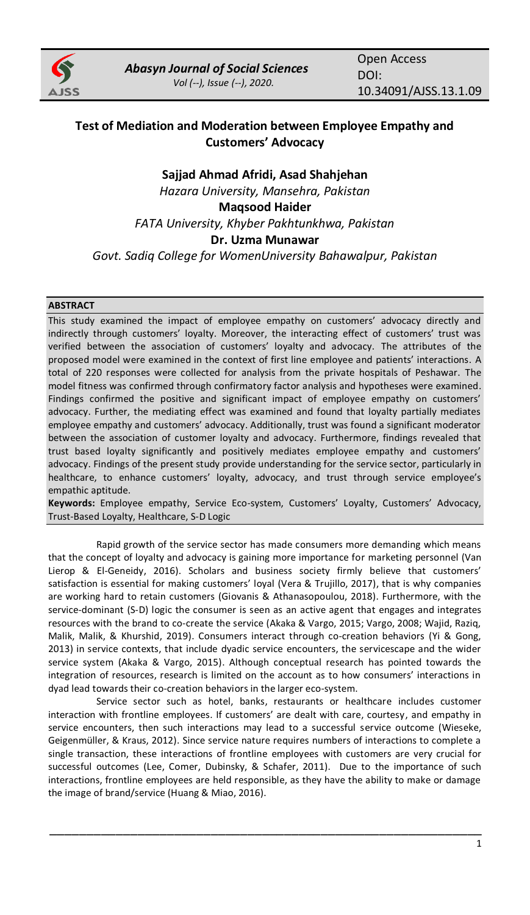

# **Test of Mediation and Moderation between Employee Empathy and Customers' Advocacy**

# **Sajjad Ahmad Afridi, Asad Shahjehan** *Hazara University, Mansehra, Pakistan* **Maqsood Haider** *FATA University, Khyber Pakhtunkhwa, Pakistan* **Dr. Uzma Munawar** *Govt. Sadiq College for WomenUniversity Bahawalpur, Pakistan*

# **ABSTRACT**

This study examined the impact of employee empathy on customers' advocacy directly and indirectly through customers' loyalty. Moreover, the interacting effect of customers' trust was verified between the association of customers' loyalty and advocacy. The attributes of the proposed model were examined in the context of first line employee and patients' interactions. A total of 220 responses were collected for analysis from the private hospitals of Peshawar. The model fitness was confirmed through confirmatory factor analysis and hypotheses were examined. Findings confirmed the positive and significant impact of employee empathy on customers' advocacy. Further, the mediating effect was examined and found that loyalty partially mediates employee empathy and customers' advocacy. Additionally, trust was found a significant moderator between the association of customer loyalty and advocacy. Furthermore, findings revealed that trust based loyalty significantly and positively mediates employee empathy and customers' advocacy. Findings of the present study provide understanding for the service sector, particularly in healthcare, to enhance customers' loyalty, advocacy, and trust through service employee's empathic aptitude.

**Keywords:** Employee empathy, Service Eco-system, Customers' Loyalty, Customers' Advocacy, Trust-Based Loyalty, Healthcare, S-D Logic

Rapid growth of the service sector has made consumers more demanding which means that the concept of loyalty and advocacy is gaining more importance for marketing personnel (Van Lierop & El-Geneidy, 2016). Scholars and business society firmly believe that customers' satisfaction is essential for making customers' loyal (Vera & Trujillo, 2017), that is why companies are working hard to retain customers (Giovanis & Athanasopoulou, 2018). Furthermore, with the service-dominant (S-D) logic the consumer is seen as an active agent that engages and integrates resources with the brand to co-create the service (Akaka & Vargo, 2015; Vargo, 2008; Wajid, Raziq, Malik, Malik, & Khurshid, 2019). Consumers interact through co-creation behaviors (Yi & Gong, 2013) in service contexts, that include dyadic service encounters, the servicescape and the wider service system (Akaka & Vargo, 2015). Although conceptual research has pointed towards the integration of resources, research is limited on the account as to how consumers' interactions in dyad lead towards their co-creation behaviors in the larger eco-system.

Service sector such as hotel, banks, restaurants or healthcare includes customer interaction with frontline employees. If customers' are dealt with care, courtesy, and empathy in service encounters, then such interactions may lead to a successful service outcome (Wieseke, Geigenmüller, & Kraus, 2012). Since service nature requires numbers of interactions to complete a single transaction, these interactions of frontline employees with customers are very crucial for successful outcomes (Lee, Comer, Dubinsky, & Schafer, 2011). Due to the importance of such interactions, frontline employees are held responsible, as they have the ability to make or damage the image of brand/service (Huang & Miao, 2016).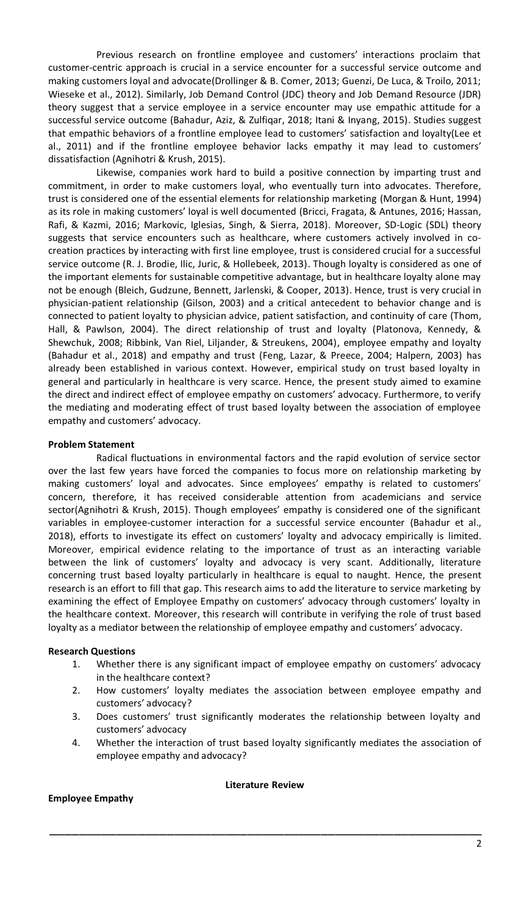Previous research on frontline employee and customers' interactions proclaim that customer-centric approach is crucial in a service encounter for a successful service outcome and making customers loyal and advocate(Drollinger & B. Comer, 2013; Guenzi, De Luca, & Troilo, 2011; Wieseke et al., 2012). Similarly, Job Demand Control (JDC) theory and Job Demand Resource (JDR) theory suggest that a service employee in a service encounter may use empathic attitude for a successful service outcome (Bahadur, Aziz, & Zulfiqar, 2018; Itani & Inyang, 2015). Studies suggest that empathic behaviors of a frontline employee lead to customers' satisfaction and loyalty(Lee et al., 2011) and if the frontline employee behavior lacks empathy it may lead to customers' dissatisfaction (Agnihotri & Krush, 2015).

Likewise, companies work hard to build a positive connection by imparting trust and commitment, in order to make customers loyal, who eventually turn into advocates. Therefore, trust is considered one of the essential elements for relationship marketing (Morgan & Hunt, 1994) as its role in making customers' loyal is well documented (Bricci, Fragata, & Antunes, 2016; Hassan, Rafi, & Kazmi, 2016; Markovic, Iglesias, Singh, & Sierra, 2018). Moreover, SD-Logic (SDL) theory suggests that service encounters such as healthcare, where customers actively involved in cocreation practices by interacting with first line employee, trust is considered crucial for a successful service outcome (R. J. Brodie, Ilic, Juric, & Hollebeek, 2013). Though loyalty is considered as one of the important elements for sustainable competitive advantage, but in healthcare loyalty alone may not be enough (Bleich, Gudzune, Bennett, Jarlenski, & Cooper, 2013). Hence, trust is very crucial in physician-patient relationship (Gilson, 2003) and a critical antecedent to behavior change and is connected to patient loyalty to physician advice, patient satisfaction, and continuity of care (Thom, Hall, & Pawlson, 2004). The direct relationship of trust and loyalty (Platonova, Kennedy, & Shewchuk, 2008; Ribbink, Van Riel, Liljander, & Streukens, 2004), employee empathy and loyalty (Bahadur et al., 2018) and empathy and trust (Feng, Lazar, & Preece, 2004; Halpern, 2003) has already been established in various context. However, empirical study on trust based loyalty in general and particularly in healthcare is very scarce. Hence, the present study aimed to examine the direct and indirect effect of employee empathy on customers' advocacy. Furthermore, to verify the mediating and moderating effect of trust based loyalty between the association of employee empathy and customers' advocacy.

## **Problem Statement**

Radical fluctuations in environmental factors and the rapid evolution of service sector over the last few years have forced the companies to focus more on relationship marketing by making customers' loyal and advocates. Since employees' empathy is related to customers' concern, therefore, it has received considerable attention from academicians and service sector(Agnihotri & Krush, 2015). Though employees' empathy is considered one of the significant variables in employee-customer interaction for a successful service encounter (Bahadur et al., 2018), efforts to investigate its effect on customers' loyalty and advocacy empirically is limited. Moreover, empirical evidence relating to the importance of trust as an interacting variable between the link of customers' loyalty and advocacy is very scant. Additionally, literature concerning trust based loyalty particularly in healthcare is equal to naught. Hence, the present research is an effort to fill that gap. This research aims to add the literature to service marketing by examining the effect of Employee Empathy on customers' advocacy through customers' loyalty in the healthcare context. Moreover, this research will contribute in verifying the role of trust based loyalty as a mediator between the relationship of employee empathy and customers' advocacy.

## **Research Questions**

- 1. Whether there is any significant impact of employee empathy on customers' advocacy in the healthcare context?
- 2. How customers' loyalty mediates the association between employee empathy and customers' advocacy?
- 3. Does customers' trust significantly moderates the relationship between loyalty and customers' advocacy
- 4. Whether the interaction of trust based loyalty significantly mediates the association of employee empathy and advocacy?

#### **Literature Review**

\_\_\_\_\_\_\_\_\_\_\_\_\_\_\_\_\_\_\_\_\_\_\_\_\_\_\_\_\_\_\_\_\_\_\_\_\_\_\_\_\_\_\_\_\_\_\_\_\_\_\_\_\_\_\_\_\_\_\_

## **Employee Empathy**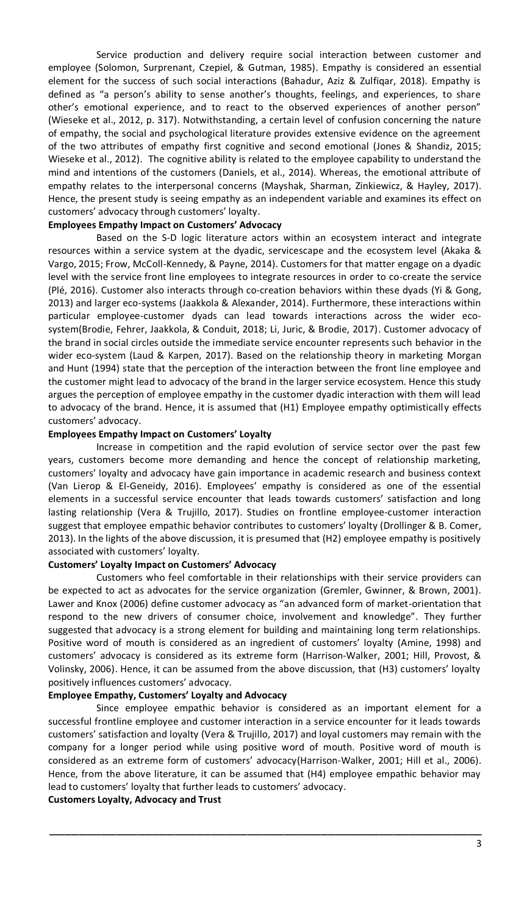Service production and delivery require social interaction between customer and employee (Solomon, Surprenant, Czepiel, & Gutman, 1985). Empathy is considered an essential element for the success of such social interactions (Bahadur, Aziz & Zulfiqar, 2018). Empathy is defined as "a person's ability to sense another's thoughts, feelings, and experiences, to share other's emotional experience, and to react to the observed experiences of another person" (Wieseke et al., 2012, p. 317). Notwithstanding, a certain level of confusion concerning the nature of empathy, the social and psychological literature provides extensive evidence on the agreement of the two attributes of empathy first cognitive and second emotional (Jones & Shandiz, 2015; Wieseke et al., 2012). The cognitive ability is related to the employee capability to understand the mind and intentions of the customers (Daniels, et al., 2014). Whereas, the emotional attribute of empathy relates to the interpersonal concerns (Mayshak, Sharman, Zinkiewicz, & Hayley, 2017). Hence, the present study is seeing empathy as an independent variable and examines its effect on customers' advocacy through customers' loyalty.

#### **Employees Empathy Impact on Customers' Advocacy**

Based on the S-D logic literature actors within an ecosystem interact and integrate resources within a service system at the dyadic, servicescape and the ecosystem level (Akaka & Vargo, 2015; Frow, McColl-Kennedy, & Payne, 2014). Customers for that matter engage on a dyadic level with the service front line employees to integrate resources in order to co-create the service (Plé, 2016). Customer also interacts through co-creation behaviors within these dyads (Yi & Gong, 2013) and larger eco-systems (Jaakkola & Alexander, 2014). Furthermore, these interactions within particular employee-customer dyads can lead towards interactions across the wider ecosystem(Brodie, Fehrer, Jaakkola, & Conduit, 2018; Li, Juric, & Brodie, 2017). Customer advocacy of the brand in social circles outside the immediate service encounter represents such behavior in the wider eco-system (Laud & Karpen, 2017). Based on the relationship theory in marketing Morgan and Hunt (1994) state that the perception of the interaction between the front line employee and the customer might lead to advocacy of the brand in the larger service ecosystem. Hence this study argues the perception of employee empathy in the customer dyadic interaction with them will lead to advocacy of the brand. Hence, it is assumed that (H1) Employee empathy optimistically effects customers' advocacy.

#### **Employees Empathy Impact on Customers' Loyalty**

Increase in competition and the rapid evolution of service sector over the past few years, customers become more demanding and hence the concept of relationship marketing, customers' loyalty and advocacy have gain importance in academic research and business context (Van Lierop & El-Geneidy, 2016). Employees' empathy is considered as one of the essential elements in a successful service encounter that leads towards customers' satisfaction and long lasting relationship (Vera & Trujillo, 2017). Studies on frontline employee-customer interaction suggest that employee empathic behavior contributes to customers' loyalty (Drollinger & B. Comer, 2013). In the lights of the above discussion, it is presumed that (H2) employee empathy is positively associated with customers' loyalty.

## **Customers' Loyalty Impact on Customers' Advocacy**

Customers who feel comfortable in their relationships with their service providers can be expected to act as advocates for the service organization (Gremler, Gwinner, & Brown, 2001). Lawer and Knox (2006) define customer advocacy as "an advanced form of market-orientation that respond to the new drivers of consumer choice, involvement and knowledge". They further suggested that advocacy is a strong element for building and maintaining long term relationships. Positive word of mouth is considered as an ingredient of customers' loyalty (Amine, 1998) and customers' advocacy is considered as its extreme form (Harrison-Walker, 2001; Hill, Provost, & Volinsky, 2006). Hence, it can be assumed from the above discussion, that (H3) customers' loyalty positively influences customers' advocacy.

#### **Employee Empathy, Customers' Loyalty and Advocacy**

Since employee empathic behavior is considered as an important element for a successful frontline employee and customer interaction in a service encounter for it leads towards customers' satisfaction and loyalty (Vera & Trujillo, 2017) and loyal customers may remain with the company for a longer period while using positive word of mouth. Positive word of mouth is considered as an extreme form of customers' advocacy(Harrison-Walker, 2001; Hill et al., 2006). Hence, from the above literature, it can be assumed that (H4) employee empathic behavior may lead to customers' loyalty that further leads to customers' advocacy.

\_\_\_\_\_\_\_\_\_\_\_\_\_\_\_\_\_\_\_\_\_\_\_\_\_\_\_\_\_\_\_\_\_\_\_\_\_\_\_\_\_\_\_\_\_\_\_\_\_\_\_\_\_\_\_\_\_\_\_

## **Customers Loyalty, Advocacy and Trust**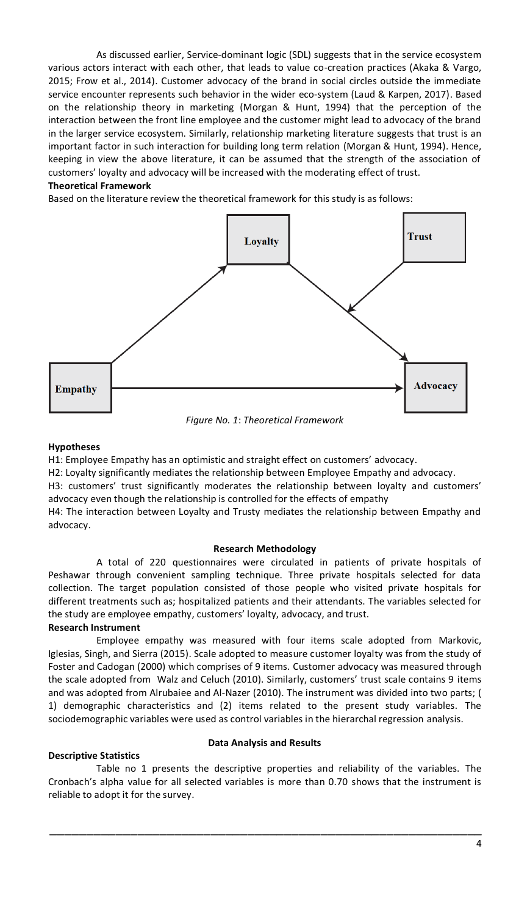As discussed earlier, Service-dominant logic (SDL) suggests that in the service ecosystem various actors interact with each other, that leads to value co-creation practices (Akaka & Vargo, 2015; Frow et al., 2014). Customer advocacy of the brand in social circles outside the immediate service encounter represents such behavior in the wider eco-system (Laud & Karpen, 2017). Based on the relationship theory in marketing (Morgan & Hunt, 1994) that the perception of the interaction between the front line employee and the customer might lead to advocacy of the brand in the larger service ecosystem. Similarly, relationship marketing literature suggests that trust is an important factor in such interaction for building long term relation (Morgan & Hunt, 1994). Hence, keeping in view the above literature, it can be assumed that the strength of the association of customers' loyalty and advocacy will be increased with the moderating effect of trust.

#### **Theoretical Framework**

Based on the literature review the theoretical framework for this study is as follows:



*Figure No. 1*: *Theoretical Framework*

#### **Hypotheses**

H1: Employee Empathy has an optimistic and straight effect on customers' advocacy.

H2: Loyalty significantly mediates the relationship between Employee Empathy and advocacy.

H3: customers' trust significantly moderates the relationship between loyalty and customers' advocacy even though the relationship is controlled for the effects of empathy

H4: The interaction between Loyalty and Trusty mediates the relationship between Empathy and advocacy.

#### **Research Methodology**

A total of 220 questionnaires were circulated in patients of private hospitals of Peshawar through convenient sampling technique. Three private hospitals selected for data collection. The target population consisted of those people who visited private hospitals for different treatments such as; hospitalized patients and their attendants. The variables selected for the study are employee empathy, customers' loyalty, advocacy, and trust.

# **Research Instrument**

Employee empathy was measured with four items scale adopted from Markovic, Iglesias, Singh, and Sierra (2015). Scale adopted to measure customer loyalty was from the study of Foster and Cadogan (2000) which comprises of 9 items. Customer advocacy was measured through the scale adopted from Walz and Celuch (2010). Similarly, customers' trust scale contains 9 items and was adopted from Alrubaiee and Al-Nazer (2010). The instrument was divided into two parts; ( 1) demographic characteristics and (2) items related to the present study variables. The sociodemographic variables were used as control variables in the hierarchal regression analysis.

## **Descriptive Statistics**

## **Data Analysis and Results**

Table no 1 presents the descriptive properties and reliability of the variables. The Cronbach's alpha value for all selected variables is more than 0.70 shows that the instrument is reliable to adopt it for the survey.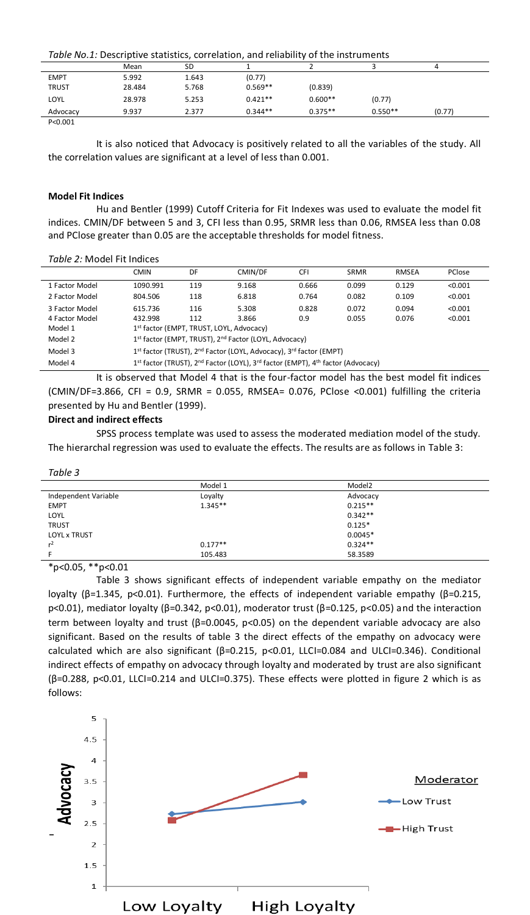*Table No.1:* Descriptive statistics, correlation, and reliability of the instruments

| , and the second part of stationary correlation, and remaining or the mothemed |        |       |           |           |           |        |  |
|--------------------------------------------------------------------------------|--------|-------|-----------|-----------|-----------|--------|--|
|                                                                                | Mean   | SD    |           |           |           | Δ      |  |
| <b>EMPT</b>                                                                    | 5.992  | 1.643 | (0.77)    |           |           |        |  |
| <b>TRUST</b>                                                                   | 28.484 | 5.768 | $0.569**$ | (0.839)   |           |        |  |
| LOYL                                                                           | 28.978 | 5.253 | $0.421**$ | $0.600**$ | (0.77)    |        |  |
| Advocacy                                                                       | 9.937  | 2.377 | $0.344**$ | $0.375**$ | $0.550**$ | (0.77) |  |
|                                                                                |        |       |           |           |           |        |  |

P<0.001

It is also noticed that Advocacy is positively related to all the variables of the study. All the correlation values are significant at a level of less than 0.001.

### **Model Fit Indices**

Hu and Bentler (1999) Cutoff Criteria for Fit Indexes was used to evaluate the model fit indices. CMIN/DF between 5 and 3, CFI less than 0.95, SRMR less than 0.06, RMSEA less than 0.08 and PClose greater than 0.05 are the acceptable thresholds for model fitness.

#### *Table 2:* Model Fit Indices

|                                                                                                                                | <b>CMIN</b>                                                                                | DF  | CMIN/DF | CFI   | SRMR  | <b>RMSEA</b> | PClose  |
|--------------------------------------------------------------------------------------------------------------------------------|--------------------------------------------------------------------------------------------|-----|---------|-------|-------|--------------|---------|
| 1 Factor Model                                                                                                                 | 1090.991                                                                                   | 119 | 9.168   | 0.666 | 0.099 | 0.129        | < 0.001 |
| 2 Factor Model                                                                                                                 | 804.506                                                                                    | 118 | 6.818   | 0.764 | 0.082 | 0.109        | < 0.001 |
| 3 Factor Model                                                                                                                 | 615.736                                                                                    | 116 | 5.308   | 0.828 | 0.072 | 0.094        | < 0.001 |
| 4 Factor Model                                                                                                                 | 432.998                                                                                    | 112 | 3.866   | 0.9   | 0.055 | 0.076        | < 0.001 |
| Model 1                                                                                                                        | 1st factor (EMPT, TRUST, LOYL, Advocacy)                                                   |     |         |       |       |              |         |
| Model 2                                                                                                                        | 1st factor (EMPT, TRUST), 2 <sup>nd</sup> Factor (LOYL, Advocacy)                          |     |         |       |       |              |         |
| Model 3                                                                                                                        | 1st factor (TRUST), 2 <sup>nd</sup> Factor (LOYL, Advocacy), 3 <sup>rd</sup> factor (EMPT) |     |         |       |       |              |         |
| 1st factor (TRUST), 2 <sup>nd</sup> Factor (LOYL), 3 <sup>rd</sup> factor (EMPT), 4 <sup>th</sup> factor (Advocacy)<br>Model 4 |                                                                                            |     |         |       |       |              |         |
| $\cdots$<br>$\sim$ $\sim$<br>$\overline{\phantom{a}}$                                                                          |                                                                                            |     |         |       |       |              |         |

It is observed that Model 4 that is the four-factor model has the best model fit indices (CMIN/DF=3.866, CFI = 0.9, SRMR = 0.055, RMSEA= 0.076, PClose <0.001) fulfilling the criteria presented by Hu and Bentler (1999).

## **Direct and indirect effects**

SPSS process template was used to assess the moderated mediation model of the study. The hierarchal regression was used to evaluate the effects. The results are as follows in Table 3:

#### *Table 3*

|                      | Model 1   | Model <sub>2</sub> |  |
|----------------------|-----------|--------------------|--|
| Independent Variable | Loyalty   | Advocacy           |  |
| <b>EMPT</b>          | $1.345**$ | $0.215**$          |  |
| LOYL                 |           | $0.342**$          |  |
| <b>TRUST</b>         |           | $0.125*$           |  |
| <b>LOYL x TRUST</b>  |           | $0.0045*$          |  |
| $r^2$                | $0.177**$ | $0.324**$          |  |
|                      | 105.483   | 58.3589            |  |
| after the            |           |                    |  |

\*p<0.05, \*\*p<0.01

Table 3 shows significant effects of independent variable empathy on the mediator loyalty (β=1.345, p<0.01). Furthermore, the effects of independent variable empathy (β=0.215, p<0.01), mediator loyalty (β=0.342, p<0.01), moderator trust (β=0.125, p<0.05) and the interaction term between loyalty and trust (β=0.0045, p<0.05) on the dependent variable advocacy are also significant. Based on the results of table 3 the direct effects of the empathy on advocacy were calculated which are also significant (β=0.215, p<0.01, LLCI=0.084 and ULCI=0.346). Conditional indirect effects of empathy on advocacy through loyalty and moderated by trust are also significant (β=0.288, p<0.01, LLCI=0.214 and ULCI=0.375). These effects were plotted in figure 2 which is as follows:

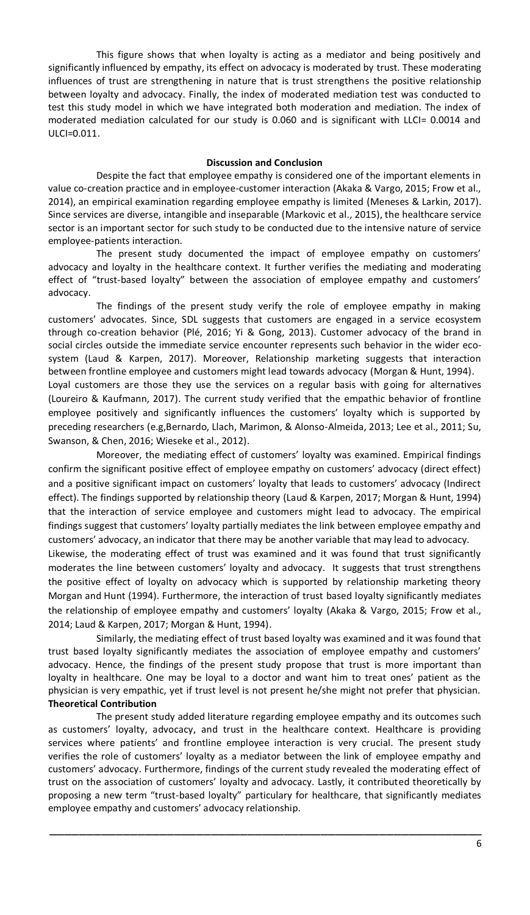This figure shows that when loyalty is acting as a mediator and being positively and significantly influenced by empathy, its effect on advocacy is moderated by trust. These moderating influences of trust are strengthening in nature that is trust strengthens the positive relationship between loyalty and advocacy. Finally, the index of moderated mediation test was conducted to test this study model in which we have integrated both moderation and mediation. The index of moderated mediation calculated for our study is 0.060 and is significant with LLCI= 0.0014 and ULCI=0.011.

## **Discussion and Conclusion**

Despite the fact that employee empathy is considered one of the important elements in value co-creation practice and in employee-customer interaction (Akaka & Vargo, 2015; Frow et al., 2014), an empirical examination regarding employee empathy is limited (Meneses & Larkin, 2017). Since services are diverse, intangible and inseparable (Markovic et al., 2015), the healthcare service sector is an important sector for such study to be conducted due to the intensive nature of service employee-patients interaction.

The present study documented the impact of employee empathy on customers' advocacy and loyalty in the healthcare context. It further verifies the mediating and moderating effect of "trust-based loyalty" between the association of employee empathy and customers' advocacy.

The findings of the present study verify the role of employee empathy in making customers' advocates. Since, SDL suggests that customers are engaged in a service ecosystem through co-creation behavior (Plé, 2016; Yi & Gong, 2013). Customer advocacy of the brand in social circles outside the immediate service encounter represents such behavior in the wider ecosystem (Laud & Karpen, 2017). Moreover, Relationship marketing suggests that interaction between frontline employee and customers might lead towards advocacy (Morgan & Hunt, 1994). Loyal customers are those they use the services on a regular basis with going for alternatives (Loureiro & Kaufmann, 2017). The current study verified that the empathic behavior of frontline employee positively and significantly influences the customers' loyalty which is supported by

preceding researchers (e.g,Bernardo, Llach, Marimon, & Alonso-Almeida, 2013; Lee et al., 2011; Su, Swanson, & Chen, 2016; Wieseke et al., 2012).

Moreover, the mediating effect of customers' loyalty was examined. Empirical findings confirm the significant positive effect of employee empathy on customers' advocacy (direct effect) and a positive significant impact on customers' loyalty that leads to customers' advocacy (Indirect effect). The findings supported by relationship theory (Laud & Karpen, 2017; Morgan & Hunt, 1994) that the interaction of service employee and customers might lead to advocacy. The empirical findings suggest that customers' loyalty partially mediates the link between employee empathy and customers' advocacy, an indicator that there may be another variable that may lead to advocacy.

Likewise, the moderating effect of trust was examined and it was found that trust significantly moderates the line between customers' loyalty and advocacy. It suggests that trust strengthens the positive effect of loyalty on advocacy which is supported by relationship marketing theory Morgan and Hunt (1994). Furthermore, the interaction of trust based loyalty significantly mediates the relationship of employee empathy and customers' loyalty (Akaka & Vargo, 2015; Frow et al., 2014; Laud & Karpen, 2017; Morgan & Hunt, 1994).

Similarly, the mediating effect of trust based loyalty was examined and it was found that trust based loyalty significantly mediates the association of employee empathy and customers' advocacy. Hence, the findings of the present study propose that trust is more important than loyalty in healthcare. One may be loyal to a doctor and want him to treat ones' patient as the physician is very empathic, yet if trust level is not present he/she might not prefer that physician. **Theoretical Contribution**

The present study added literature regarding employee empathy and its outcomes such as customers' loyalty, advocacy, and trust in the healthcare context. Healthcare is providing services where patients' and frontline employee interaction is very crucial. The present study verifies the role of customers' loyalty as a mediator between the link of employee empathy and customers' advocacy. Furthermore, findings of the current study revealed the moderating effect of trust on the association of customers' loyalty and advocacy. Lastly, it contributed theoretically by proposing a new term "trust-based loyalty" particulary for healthcare, that significantly mediates employee empathy and customers' advocacy relationship.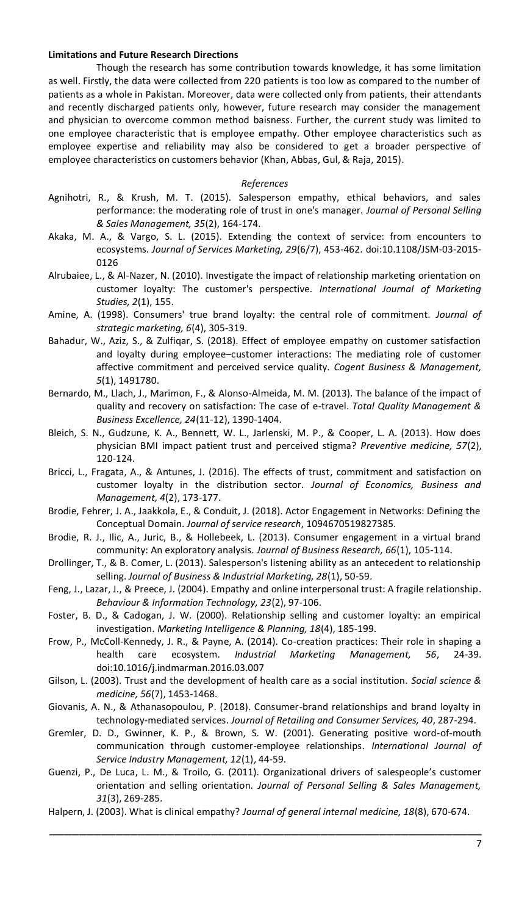#### **Limitations and Future Research Directions**

Though the research has some contribution towards knowledge, it has some limitation as well. Firstly, the data were collected from 220 patients is too low as compared to the number of patients as a whole in Pakistan. Moreover, data were collected only from patients, their attendants and recently discharged patients only, however, future research may consider the management and physician to overcome common method baisness. Further, the current study was limited to one employee characteristic that is employee empathy. Other employee characteristics such as employee expertise and reliability may also be considered to get a broader perspective of employee characteristics on customers behavior (Khan, Abbas, Gul, & Raja, 2015).

### *References*

- Agnihotri, R., & Krush, M. T. (2015). Salesperson empathy, ethical behaviors, and sales performance: the moderating role of trust in one's manager. *Journal of Personal Selling & Sales Management, 35*(2), 164-174.
- Akaka, M. A., & Vargo, S. L. (2015). Extending the context of service: from encounters to ecosystems. *Journal of Services Marketing, 29*(6/7), 453-462. doi:10.1108/JSM-03-2015- 0126
- Alrubaiee, L., & Al-Nazer, N. (2010). Investigate the impact of relationship marketing orientation on customer loyalty: The customer's perspective. *International Journal of Marketing Studies, 2*(1), 155.
- Amine, A. (1998). Consumers' true brand loyalty: the central role of commitment. *Journal of strategic marketing, 6*(4), 305-319.
- Bahadur, W., Aziz, S., & Zulfiqar, S. (2018). Effect of employee empathy on customer satisfaction and loyalty during employee–customer interactions: The mediating role of customer affective commitment and perceived service quality. *Cogent Business & Management, 5*(1), 1491780.
- Bernardo, M., Llach, J., Marimon, F., & Alonso-Almeida, M. M. (2013). The balance of the impact of quality and recovery on satisfaction: The case of e-travel. *Total Quality Management & Business Excellence, 24*(11-12), 1390-1404.
- Bleich, S. N., Gudzune, K. A., Bennett, W. L., Jarlenski, M. P., & Cooper, L. A. (2013). How does physician BMI impact patient trust and perceived stigma? *Preventive medicine, 57*(2), 120-124.
- Bricci, L., Fragata, A., & Antunes, J. (2016). The effects of trust, commitment and satisfaction on customer loyalty in the distribution sector. *Journal of Economics, Business and Management, 4*(2), 173-177.
- Brodie, Fehrer, J. A., Jaakkola, E., & Conduit, J. (2018). Actor Engagement in Networks: Defining the Conceptual Domain. *Journal of service research*, 1094670519827385.
- Brodie, R. J., Ilic, A., Juric, B., & Hollebeek, L. (2013). Consumer engagement in a virtual brand community: An exploratory analysis. *Journal of Business Research, 66*(1), 105-114.
- Drollinger, T., & B. Comer, L. (2013). Salesperson's listening ability as an antecedent to relationship selling. *Journal of Business & Industrial Marketing, 28*(1), 50-59.
- Feng, J., Lazar, J., & Preece, J. (2004). Empathy and online interpersonal trust: A fragile relationship. *Behaviour & Information Technology, 23*(2), 97-106.
- Foster, B. D., & Cadogan, J. W. (2000). Relationship selling and customer loyalty: an empirical investigation. *Marketing Intelligence & Planning, 18*(4), 185-199.
- Frow, P., McColl-Kennedy, J. R., & Payne, A. (2014). Co-creation practices: Their role in shaping a health care ecosystem. *Industrial Marketing Management, 56*, 24-39. doi:10.1016/j.indmarman.2016.03.007
- Gilson, L. (2003). Trust and the development of health care as a social institution. *Social science & medicine, 56*(7), 1453-1468.
- Giovanis, A. N., & Athanasopoulou, P. (2018). Consumer-brand relationships and brand loyalty in technology-mediated services. *Journal of Retailing and Consumer Services, 40*, 287-294.
- Gremler, D. D., Gwinner, K. P., & Brown, S. W. (2001). Generating positive word-of-mouth communication through customer-employee relationships. *International Journal of Service Industry Management, 12*(1), 44-59.
- Guenzi, P., De Luca, L. M., & Troilo, G. (2011). Organizational drivers of salespeople's customer orientation and selling orientation. *Journal of Personal Selling & Sales Management, 31*(3), 269-285.
- \_\_\_\_\_\_\_\_\_\_\_\_\_\_\_\_\_\_\_\_\_\_\_\_\_\_\_\_\_\_\_\_\_\_\_\_\_\_\_\_\_\_\_\_\_\_\_\_\_\_\_\_\_\_\_\_\_\_\_ Halpern, J. (2003). What is clinical empathy? *Journal of general internal medicine, 18*(8), 670-674.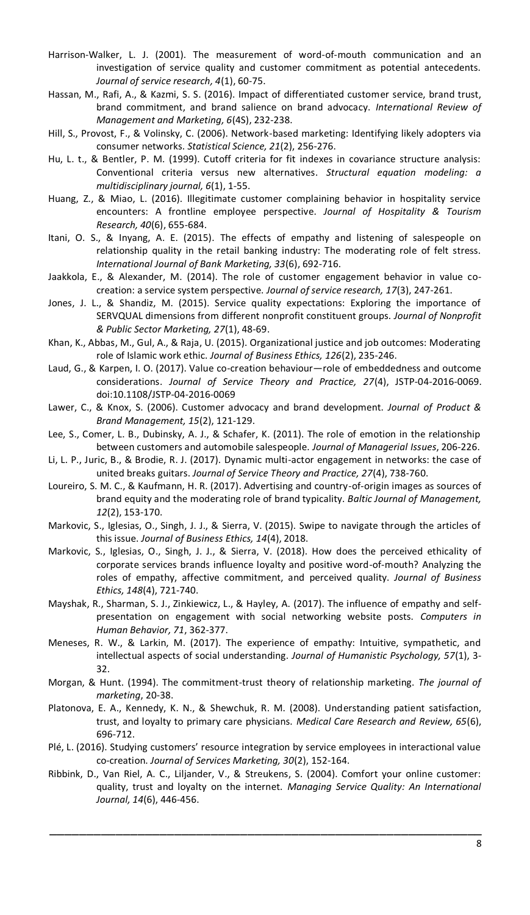- Harrison-Walker, L. J. (2001). The measurement of word-of-mouth communication and an investigation of service quality and customer commitment as potential antecedents. *Journal of service research, 4*(1), 60-75.
- Hassan, M., Rafi, A., & Kazmi, S. S. (2016). Impact of differentiated customer service, brand trust, brand commitment, and brand salience on brand advocacy. *International Review of Management and Marketing, 6*(4S), 232-238.
- Hill, S., Provost, F., & Volinsky, C. (2006). Network-based marketing: Identifying likely adopters via consumer networks. *Statistical Science, 21*(2), 256-276.
- Hu, L. t., & Bentler, P. M. (1999). Cutoff criteria for fit indexes in covariance structure analysis: Conventional criteria versus new alternatives. *Structural equation modeling: a multidisciplinary journal, 6*(1), 1-55.
- Huang, Z., & Miao, L. (2016). Illegitimate customer complaining behavior in hospitality service encounters: A frontline employee perspective. *Journal of Hospitality & Tourism Research, 40*(6), 655-684.
- Itani, O. S., & Inyang, A. E. (2015). The effects of empathy and listening of salespeople on relationship quality in the retail banking industry: The moderating role of felt stress. *International Journal of Bank Marketing, 33*(6), 692-716.
- Jaakkola, E., & Alexander, M. (2014). The role of customer engagement behavior in value cocreation: a service system perspective. *Journal of service research, 17*(3), 247-261.
- Jones, J. L., & Shandiz, M. (2015). Service quality expectations: Exploring the importance of SERVQUAL dimensions from different nonprofit constituent groups. *Journal of Nonprofit & Public Sector Marketing, 27*(1), 48-69.
- Khan, K., Abbas, M., Gul, A., & Raja, U. (2015). Organizational justice and job outcomes: Moderating role of Islamic work ethic. *Journal of Business Ethics, 126*(2), 235-246.
- Laud, G., & Karpen, I. O. (2017). Value co-creation behaviour—role of embeddedness and outcome considerations. *Journal of Service Theory and Practice, 27*(4), JSTP-04-2016-0069. doi:10.1108/JSTP-04-2016-0069
- Lawer, C., & Knox, S. (2006). Customer advocacy and brand development. *Journal of Product & Brand Management, 15*(2), 121-129.
- Lee, S., Comer, L. B., Dubinsky, A. J., & Schafer, K. (2011). The role of emotion in the relationship between customers and automobile salespeople. *Journal of Managerial Issues*, 206-226.
- Li, L. P., Juric, B., & Brodie, R. J. (2017). Dynamic multi-actor engagement in networks: the case of united breaks guitars. *Journal of Service Theory and Practice, 27*(4), 738-760.
- Loureiro, S. M. C., & Kaufmann, H. R. (2017). Advertising and country-of-origin images as sources of brand equity and the moderating role of brand typicality. *Baltic Journal of Management, 12*(2), 153-170.
- Markovic, S., Iglesias, O., Singh, J. J., & Sierra, V. (2015). Swipe to navigate through the articles of this issue. *Journal of Business Ethics, 14*(4), 2018.
- Markovic, S., Iglesias, O., Singh, J. J., & Sierra, V. (2018). How does the perceived ethicality of corporate services brands influence loyalty and positive word-of-mouth? Analyzing the roles of empathy, affective commitment, and perceived quality. *Journal of Business Ethics, 148*(4), 721-740.
- Mayshak, R., Sharman, S. J., Zinkiewicz, L., & Hayley, A. (2017). The influence of empathy and selfpresentation on engagement with social networking website posts. *Computers in Human Behavior, 71*, 362-377.
- Meneses, R. W., & Larkin, M. (2017). The experience of empathy: Intuitive, sympathetic, and intellectual aspects of social understanding. *Journal of Humanistic Psychology, 57*(1), 3- 32.
- Morgan, & Hunt. (1994). The commitment-trust theory of relationship marketing. *The journal of marketing*, 20-38.
- Platonova, E. A., Kennedy, K. N., & Shewchuk, R. M. (2008). Understanding patient satisfaction, trust, and loyalty to primary care physicians. *Medical Care Research and Review, 65*(6), 696-712.
- Plé, L. (2016). Studying customers' resource integration by service employees in interactional value co-creation. *Journal of Services Marketing, 30*(2), 152-164.
- Ribbink, D., Van Riel, A. C., Liljander, V., & Streukens, S. (2004). Comfort your online customer: quality, trust and loyalty on the internet. *Managing Service Quality: An International Journal, 14*(6), 446-456.